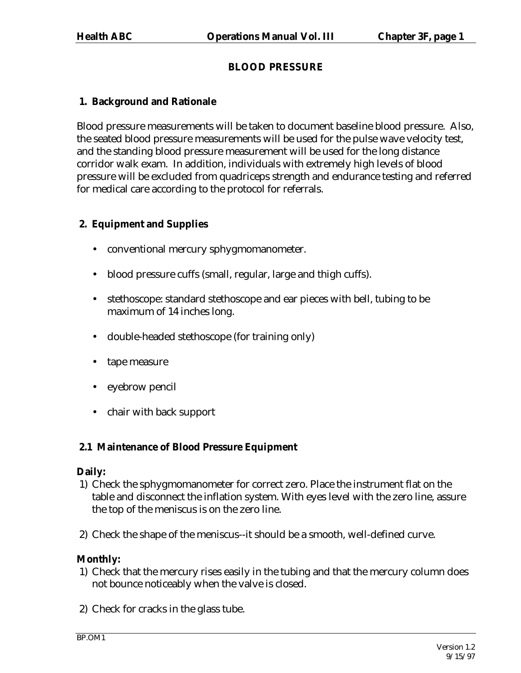# **BLOOD PRESSURE**

# **1. Background and Rationale**

Blood pressure measurements will be taken to document baseline blood pressure. Also, the seated blood pressure measurements will be used for the pulse wave velocity test, and the standing blood pressure measurement will be used for the long distance corridor walk exam. In addition, individuals with extremely high levels of blood pressure will be excluded from quadriceps strength and endurance testing and referred for medical care according to the protocol for referrals.

# **2. Equipment and Supplies**

- conventional mercury sphygmomanometer.
- blood pressure cuffs (small, regular, large and thigh cuffs).
- stethoscope: standard stethoscope and ear pieces with bell, tubing to be maximum of 14 inches long.
- double-headed stethoscope (for training only)
- tape measure
- eyebrow pencil
- chair with back support

## **2.1 Maintenance of Blood Pressure Equipment**

#### **Daily:**

- 1) Check the sphygmomanometer for correct zero. Place the instrument flat on the table and disconnect the inflation system. With eyes level with the zero line, assure the top of the meniscus is on the zero line.
- 2) Check the shape of the meniscus--it should be a smooth, well-defined curve.

## **Monthly:**

- 1) Check that the mercury rises easily in the tubing and that the mercury column does not bounce noticeably when the valve is closed.
- 2) Check for cracks in the glass tube.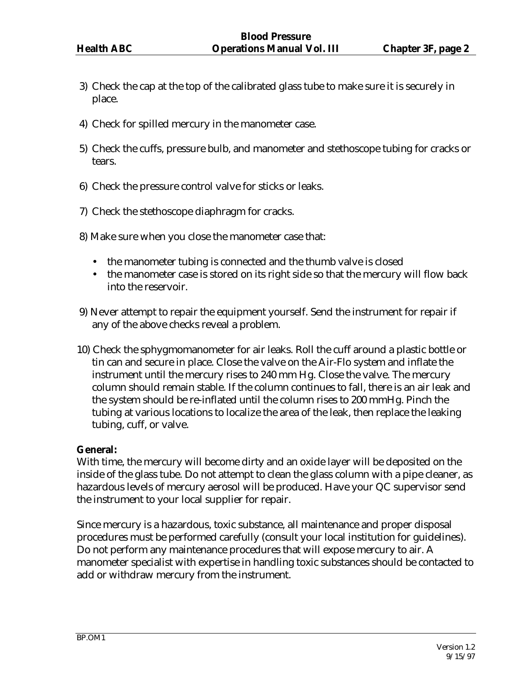- 3) Check the cap at the top of the calibrated glass tube to make sure it is securely in place.
- 4) Check for spilled mercury in the manometer case.
- 5) Check the cuffs, pressure bulb, and manometer and stethoscope tubing for cracks or tears.
- 6) Check the pressure control valve for sticks or leaks.
- 7) Check the stethoscope diaphragm for cracks.
- 8) Make sure when you close the manometer case that:
	- the manometer tubing is connected and the thumb valve is closed
	- the manometer case is stored on its right side so that the mercury will flow back into the reservoir.
- 9) Never attempt to repair the equipment yourself. Send the instrument for repair if any of the above checks reveal a problem.
- 10) Check the sphygmomanometer for air leaks. Roll the cuff around a plastic bottle or tin can and secure in place. Close the valve on the Air-Flo system and inflate the instrument until the mercury rises to 240 mm Hg. Close the valve. The mercury column should remain stable. If the column continues to fall, there is an air leak and the system should be re-inflated until the column rises to 200 mmHg. Pinch the tubing at various locations to localize the area of the leak, then replace the leaking tubing, cuff, or valve.

#### **General:**

With time, the mercury will become dirty and an oxide layer will be deposited on the inside of the glass tube. Do not attempt to clean the glass column with a pipe cleaner, as hazardous levels of mercury aerosol will be produced. Have your QC supervisor send the instrument to your local supplier for repair.

Since mercury is a hazardous, toxic substance, all maintenance and proper disposal procedures must be performed carefully (consult your local institution for guidelines). Do not perform any maintenance procedures that will expose mercury to air. A manometer specialist with expertise in handling toxic substances should be contacted to add or withdraw mercury from the instrument.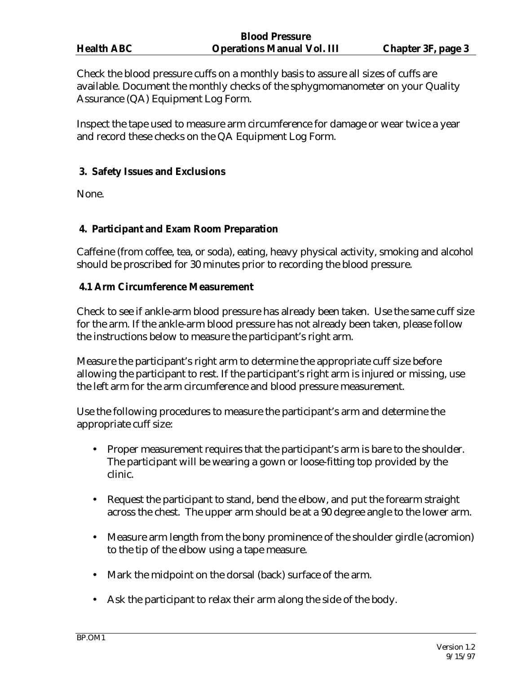| <b>Blood Pressure</b> |                                   |                           |
|-----------------------|-----------------------------------|---------------------------|
| <b>Health ABC</b>     | <b>Operations Manual Vol. III</b> | <b>Chapter 3F, page 3</b> |

Check the blood pressure cuffs on a monthly basis to assure all sizes of cuffs are available. Document the monthly checks of the sphygmomanometer on your Quality Assurance (QA) Equipment Log Form.

Inspect the tape used to measure arm circumference for damage or wear twice a year and record these checks on the QA Equipment Log Form.

#### **3. Safety Issues and Exclusions**

None.

## **4. Participant and Exam Room Preparation**

Caffeine (from coffee, tea, or soda), eating, heavy physical activity, smoking and alcohol should be proscribed for 30 minutes prior to recording the blood pressure.

## **4.1 Arm Circumference Measurement**

Check to see if ankle-arm blood pressure has already been taken. Use the same cuff size for the arm. If the ankle-arm blood pressure has not already been taken, please follow the instructions below to measure the participant's right arm.

Measure the participant's right arm to determine the appropriate cuff size before allowing the participant to rest. If the participant's right arm is injured or missing, use the left arm for the arm circumference and blood pressure measurement.

Use the following procedures to measure the participant's arm and determine the appropriate cuff size:

- Proper measurement requires that the participant's arm is bare to the shoulder. The participant will be wearing a gown or loose-fitting top provided by the clinic.
- Request the participant to stand, bend the elbow, and put the forearm straight across the chest. The upper arm should be at a 90 degree angle to the lower arm.
- Measure arm length from the bony prominence of the shoulder girdle (acromion) to the tip of the elbow using a tape measure.
- Mark the midpoint on the dorsal (back) surface of the arm.
- Ask the participant to relax their arm along the side of the body.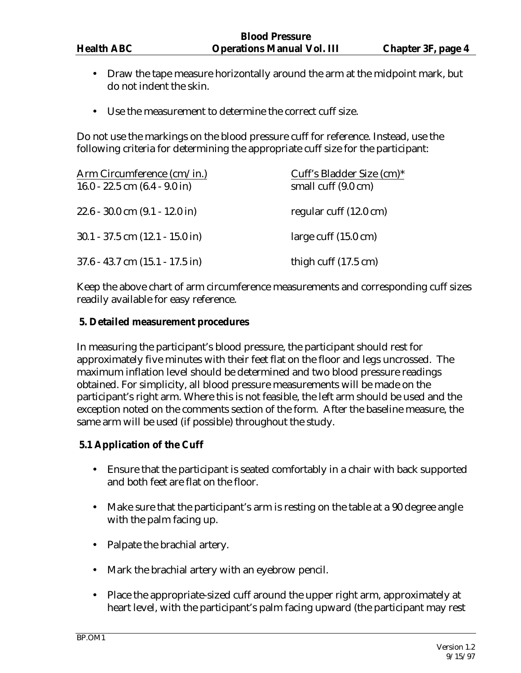- Draw the tape measure horizontally around the arm at the midpoint mark, but do not indent the skin.
- Use the measurement to determine the correct cuff size.

Do not use the markings on the blood pressure cuff for reference. Instead, use the following criteria for determining the appropriate cuff size for the participant:

| Arm Circumference (cm/in.)<br>16.0 - 22.5 cm $(6.4 - 9.0)$ in | Cuff's Bladder Size (cm)*<br>small cuff (9.0 cm) |
|---------------------------------------------------------------|--------------------------------------------------|
|                                                               |                                                  |
| $22.6 - 30.0$ cm $(9.1 - 12.0$ in                             | regular cuff (12.0 cm)                           |
| $30.1 - 37.5$ cm $(12.1 - 15.0$ in                            | large cuff $(15.0 \text{ cm})$                   |
| $37.6 - 43.7$ cm $(15.1 - 17.5$ in                            | thigh cuff $(17.5 \text{ cm})$                   |

Keep the above chart of arm circumference measurements and corresponding cuff sizes readily available for easy reference.

## **5. Detailed measurement procedures**

In measuring the participant's blood pressure, the participant should rest for approximately five minutes with their feet flat on the floor and legs uncrossed. The maximum inflation level should be determined and two blood pressure readings obtained. For simplicity, all blood pressure measurements will be made on the participant's right arm. Where this is not feasible, the left arm should be used and the exception noted on the comments section of the form. After the baseline measure, the same arm will be used (if possible) throughout the study.

#### **5.1 Application of the Cuff**

- Ensure that the participant is seated comfortably in a chair with back supported and both feet are flat on the floor.
- Make sure that the participant's arm is resting on the table at a 90 degree angle with the palm facing up.
- Palpate the brachial artery.
- Mark the brachial artery with an eyebrow pencil.
- Place the appropriate-sized cuff around the upper right arm, approximately at heart level, with the participant's palm facing upward (the participant may rest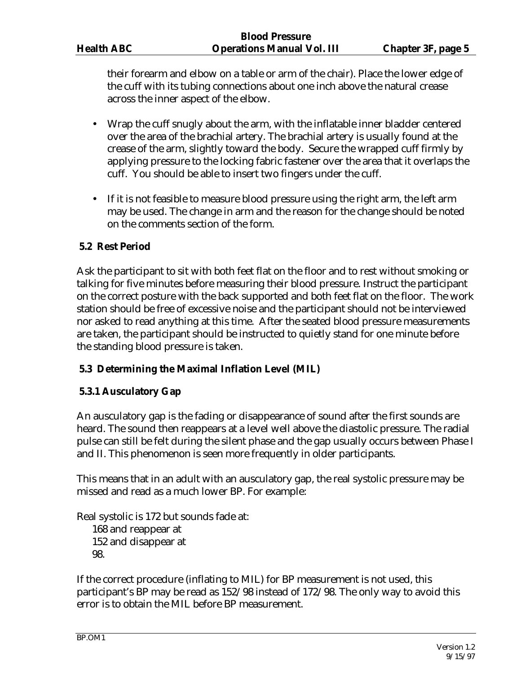their forearm and elbow on a table or arm of the chair). Place the lower edge of the cuff with its tubing connections about one inch above the natural crease across the inner aspect of the elbow.

- Wrap the cuff snugly about the arm, with the inflatable inner bladder centered over the area of the brachial artery. The brachial artery is usually found at the crease of the arm, slightly toward the body. Secure the wrapped cuff firmly by applying pressure to the locking fabric fastener over the area that it overlaps the cuff. You should be able to insert two fingers under the cuff.
- If it is not feasible to measure blood pressure using the right arm, the left arm may be used. The change in arm and the reason for the change should be noted on the comments section of the form.

## **5.2 Rest Period**

Ask the participant to sit with both feet flat on the floor and to rest without smoking or talking for five minutes before measuring their blood pressure. Instruct the participant on the correct posture with the back supported and both feet flat on the floor. The work station should be free of excessive noise and the participant should not be interviewed nor asked to read anything at this time. After the seated blood pressure measurements are taken, the participant should be instructed to quietly stand for one minute before the standing blood pressure is taken.

#### **5.3 Determining the Maximal Inflation Level (MIL)**

#### **5.3.1 Ausculatory Gap**

An ausculatory gap is the fading or disappearance of sound after the first sounds are heard. The sound then reappears at a level well above the diastolic pressure. The radial pulse can still be felt during the silent phase and the gap usually occurs between Phase I and II. This phenomenon is seen more frequently in older participants.

This means that in an adult with an ausculatory gap, the real systolic pressure may be missed and read as a much lower BP. For example:

Real systolic is 172 but sounds fade at: 168 and reappear at 152 and disappear at 98.

If the correct procedure (inflating to MIL) for BP measurement is not used, this participant's BP may be read as 152/98 instead of 172/98. The only way to avoid this error is to obtain the MIL before BP measurement.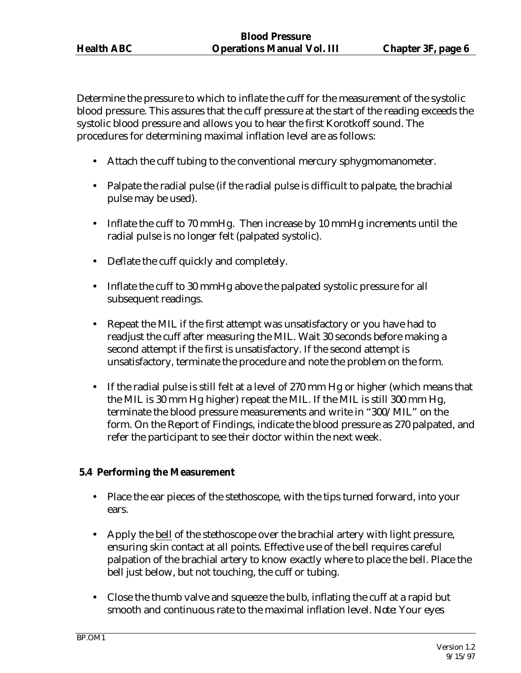Determine the pressure to which to inflate the cuff for the measurement of the systolic blood pressure. This assures that the cuff pressure at the start of the reading exceeds the systolic blood pressure and allows you to hear the first Korotkoff sound. The procedures for determining maximal inflation level are as follows:

- Attach the cuff tubing to the conventional mercury sphygmomanometer.
- Palpate the radial pulse (if the radial pulse is difficult to palpate, the brachial pulse may be used).
- Inflate the cuff to 70 mmHg. Then increase by 10 mmHg increments until the radial pulse is no longer felt (palpated systolic).
- Deflate the cuff quickly and completely.
- Inflate the cuff to 30 mmHg above the palpated systolic pressure for all subsequent readings.
- Repeat the MIL if the first attempt was unsatisfactory or you have had to readjust the cuff after measuring the MIL. Wait 30 seconds before making a second attempt if the first is unsatisfactory. If the second attempt is unsatisfactory, terminate the procedure and note the problem on the form.
- If the radial pulse is still felt at a level of 270 mm Hg or higher (which means that the MIL is 30 mm Hg higher) repeat the MIL. If the MIL is still 300 mm Hg, terminate the blood pressure measurements and write in "300/MIL" on the form. On the Report of Findings, indicate the blood pressure as 270 palpated, and refer the participant to see their doctor within the next week.

#### **5.4 Performing the Measurement**

- Place the ear pieces of the stethoscope, with the tips turned forward, into your ears.
- Apply the bell of the stethoscope over the brachial artery with light pressure, ensuring skin contact at all points. Effective use of the bell requires careful palpation of the brachial artery to know exactly where to place the bell. Place the bell just below, but not touching, the cuff or tubing.
- Close the thumb valve and squeeze the bulb, inflating the cuff at a rapid but smooth and continuous rate to the maximal inflation level. *Note:* Your eyes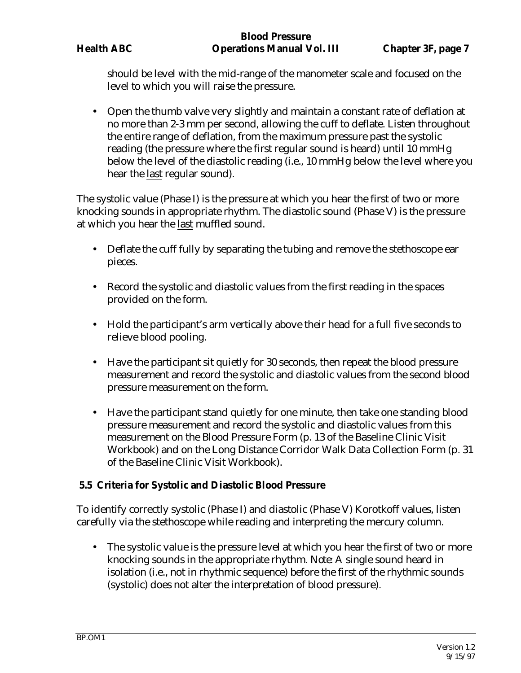should be level with the mid-range of the manometer scale and focused on the level to which you will raise the pressure.

• Open the thumb valve very slightly and maintain a constant rate of deflation at no more than 2-3 mm per second, allowing the cuff to deflate. Listen throughout the entire range of deflation, from the maximum pressure past the systolic reading (the pressure where the first regular sound is heard) until 10 mmHg below the level of the diastolic reading (i.e., 10 mmHg below the level where you hear the last regular sound).

The systolic value (Phase I) is the pressure at which you hear the first of two or more knocking sounds in appropriate rhythm. The diastolic sound (Phase V) is the pressure at which you hear the last muffled sound.

- Deflate the cuff fully by separating the tubing and remove the stethoscope ear pieces.
- Record the systolic and diastolic values from the first reading in the spaces provided on the form.
- Hold the participant's arm vertically above their head for a full five seconds to relieve blood pooling.
- Have the participant sit quietly for 30 seconds, then repeat the blood pressure measurement and record the systolic and diastolic values from the second blood pressure measurement on the form.
- Have the participant stand quietly for one minute, then take one standing blood pressure measurement and record the systolic and diastolic values from this measurement on the Blood Pressure Form (p. 13 of the Baseline Clinic Visit Workbook) and on the Long Distance Corridor Walk Data Collection Form (p. 31 of the Baseline Clinic Visit Workbook).

## **5.5 Criteria for Systolic and Diastolic Blood Pressure**

To identify correctly systolic (Phase I) and diastolic (Phase V) Korotkoff values, listen carefully via the stethoscope while reading and interpreting the mercury column.

• The systolic value is the pressure level at which you hear the first of two or more knocking sounds in the appropriate rhythm. *Note:* A single sound heard in isolation (i.e., not in rhythmic sequence) before the first of the rhythmic sounds (systolic) does not alter the interpretation of blood pressure).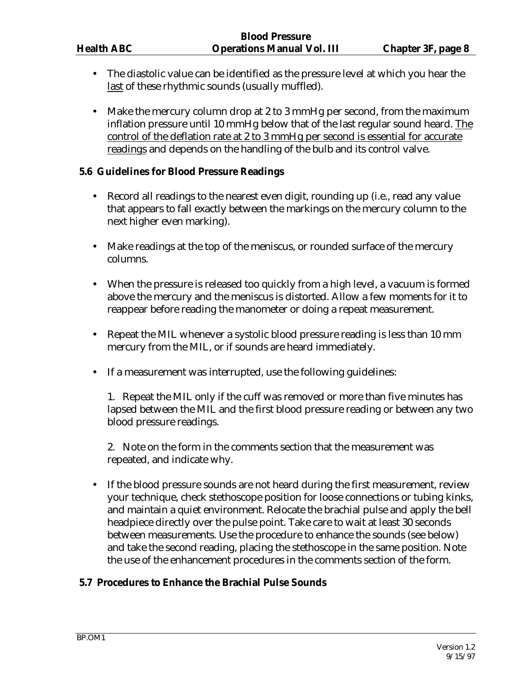- The diastolic value can be identified as the pressure level at which you hear the last of these rhythmic sounds (usually muffled).
- Make the mercury column drop at 2 to 3 mmHg per second, from the maximum inflation pressure until 10 mmHg below that of the last regular sound heard. The control of the deflation rate at 2 to 3 mmHg per second is essential for accurate readings and depends on the handling of the bulb and its control valve.

#### **5.6 Guidelines for Blood Pressure Readings**

- Record all readings to the nearest even digit, rounding up (i.e., read any value that appears to fall exactly between the markings on the mercury column to the next higher even marking).
- Make readings at the top of the meniscus, or rounded surface of the mercury columns.
- When the pressure is released too quickly from a high level, a vacuum is formed above the mercury and the meniscus is distorted. Allow a few moments for it to reappear before reading the manometer or doing a repeat measurement.
- Repeat the MIL whenever a systolic blood pressure reading is less than 10 mm mercury from the MIL, or if sounds are heard immediately.
- If a measurement was interrupted, use the following guidelines:

1. Repeat the MIL only if the cuff was removed or more than five minutes has lapsed between the MIL and the first blood pressure reading or between any two blood pressure readings.

2. Note on the form in the comments section that the measurement was repeated, and indicate why.

• If the blood pressure sounds are not heard during the first measurement, review your technique, check stethoscope position for loose connections or tubing kinks, and maintain a quiet environment. Relocate the brachial pulse and apply the bell headpiece directly over the pulse point. Take care to wait at least 30 seconds between measurements. Use the procedure to enhance the sounds (see below) and take the second reading, placing the stethoscope in the same position. Note the use of the enhancement procedures in the comments section of the form.

#### **5.7 Procedures to Enhance the Brachial Pulse Sounds**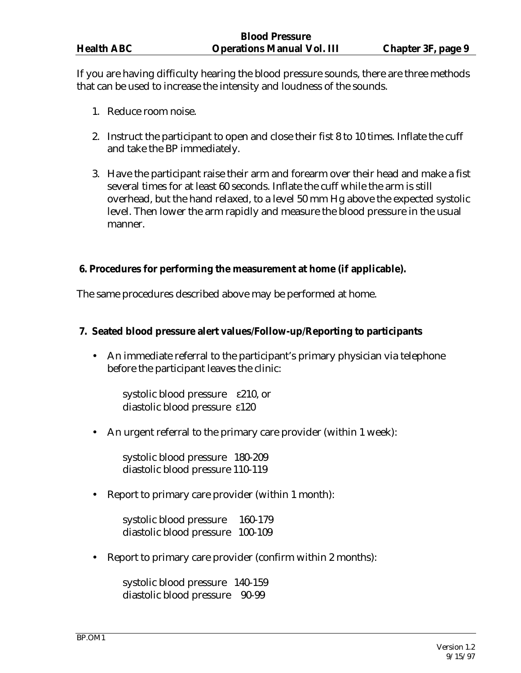If you are having difficulty hearing the blood pressure sounds, there are three methods that can be used to increase the intensity and loudness of the sounds.

- 1. Reduce room noise.
- 2. Instruct the participant to open and close their fist 8 to 10 times. Inflate the cuff and take the BP immediately.
- 3. Have the participant raise their arm and forearm over their head and make a fist several times for at least 60 seconds. Inflate the cuff while the arm is still overhead, but the hand relaxed, to a level 50 mm Hg above the expected systolic level. Then lower the arm rapidly and measure the blood pressure in the usual manner.

## **6. Procedures for performing the measurement at home (if applicable).**

The same procedures described above may be performed at home.

#### **7. Seated blood pressure alert values/Follow-up/Reporting to participants**

• An immediate referral to the participant's primary physician via telephone before the participant leaves the clinic:

 systolic blood pressure ε210, or diastolic blood pressure ε120

• An urgent referral to the primary care provider (within 1 week):

 systolic blood pressure 180-209 diastolic blood pressure 110-119

• Report to primary care provider (within 1 month):

 systolic blood pressure 160-179 diastolic blood pressure 100-109

• Report to primary care provider (confirm within 2 months):

 systolic blood pressure 140-159 diastolic blood pressure 90-99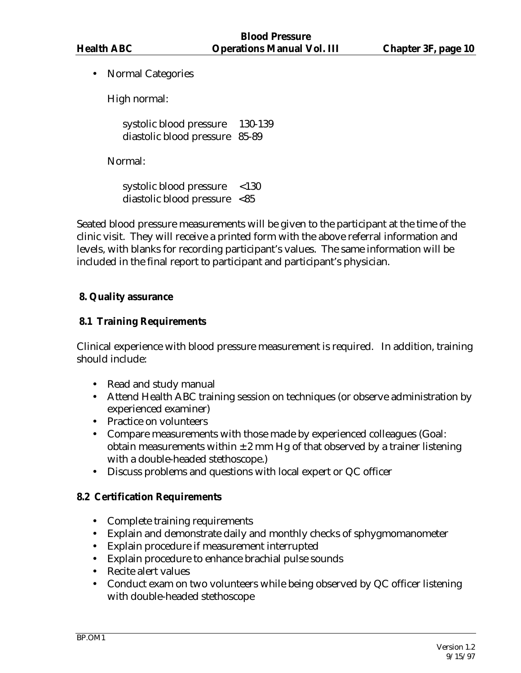• Normal Categories

High normal:

systolic blood pressure 130-139 diastolic blood pressure 85-89

Normal:

 systolic blood pressure <130 diastolic blood pressure <85

Seated blood pressure measurements will be given to the participant at the time of the clinic visit. They will receive a printed form with the above referral information and levels, with blanks for recording participant's values. The same information will be included in the final report to participant and participant's physician.

## **8. Quality assurance**

## **8.1 Training Requirements**

Clinical experience with blood pressure measurement is required. In addition, training should include:

- Read and study manual
- Attend Health ABC training session on techniques (or observe administration by experienced examiner)
- Practice on volunteers
- Compare measurements with those made by experienced colleagues (Goal: obtain measurements within  $\pm 2$  mm Hg of that observed by a trainer listening with a double-headed stethoscope.)
- Discuss problems and questions with local expert or QC officer

#### **8.2 Certification Requirements**

- Complete training requirements
- Explain and demonstrate daily and monthly checks of sphygmomanometer
- Explain procedure if measurement interrupted
- Explain procedure to enhance brachial pulse sounds
- Recite alert values
- Conduct exam on two volunteers while being observed by QC officer listening with double-headed stethoscope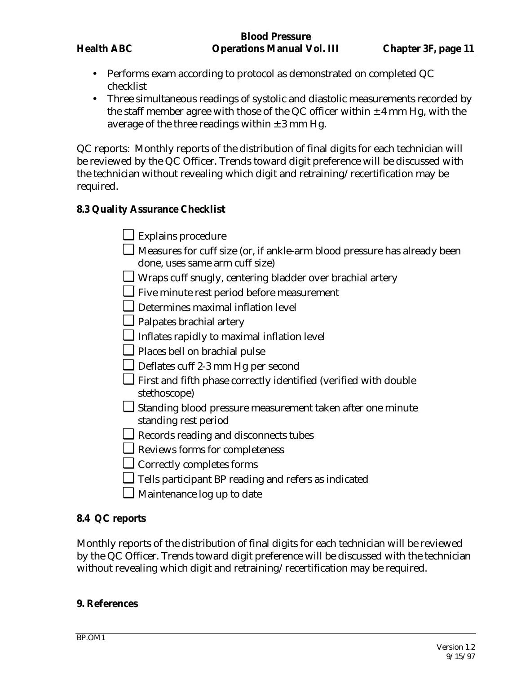- Performs exam according to protocol as demonstrated on completed QC checklist
- Three simultaneous readings of systolic and diastolic measurements recorded by the staff member agree with those of the QC officer within  $\pm$  4 mm Hg, with the average of the three readings within  $\pm 3$  mm Hg.

QC reports: Monthly reports of the distribution of final digits for each technician will be reviewed by the QC Officer. Trends toward digit preference will be discussed with the technician without revealing which digit and retraining/recertification may be required.

## **8.3 Quality Assurance Checklist**

- ❏ Explains procedure
- ❏ Measures for cuff size (or, if ankle-arm blood pressure has already been done, uses same arm cuff size)
- ❏ Wraps cuff snugly, centering bladder over brachial artery
- ❏ Five minute rest period before measurement
- ❏ Determines maximal inflation level
- ❏ Palpates brachial artery
- ❏ Inflates rapidly to maximal inflation level
- ❏ Places bell on brachial pulse
- ❏ Deflates cuff 2-3 mm Hg per second
- ❏ First and fifth phase correctly identified (verified with double stethoscope)
- ❏ Standing blood pressure measurement taken after one minute standing rest period
- ❏ Records reading and disconnects tubes
- ❏ Reviews forms for completeness
- ❏ Correctly completes forms
- ❏ Tells participant BP reading and refers as indicated
- ❏ Maintenance log up to date

#### **8.4 QC reports**

Monthly reports of the distribution of final digits for each technician will be reviewed by the QC Officer. Trends toward digit preference will be discussed with the technician without revealing which digit and retraining/recertification may be required.

#### **9. References**